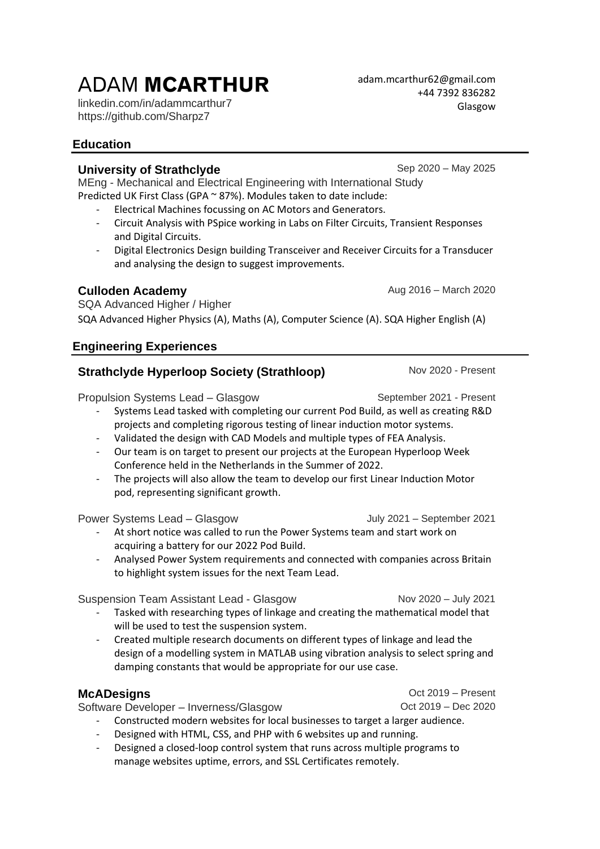# ADAM **MCARTHUR**

linkedin.com/in/adammcarthur7 https://github.com/Sharpz7

# **Education**

## **University of Strathclyde** Sep 2020 – May 2025

MEng - Mechanical and Electrical Engineering with International Study Predicted UK First Class (GPA ~ 87%). Modules taken to date include:

- Electrical Machines focussing on AC Motors and Generators.
- Circuit Analysis with PSpice working in Labs on Filter Circuits, Transient Responses and Digital Circuits.
- Digital Electronics Design building Transceiver and Receiver Circuits for a Transducer and analysing the design to suggest improvements.

# **Culloden Academy Culloden Academy Aug 2016** – March 2020

SQA Advanced Higher / Higher SQA Advanced Higher Physics (A), Maths (A), Computer Science (A). SQA Higher English (A)

# **Engineering Experiences**

# **Strathclyde Hyperloop Society (Strathloop)** Nov 2020 - Present

Propulsion Systems Lead – Glasgow September 2021 - Present

#### - Systems Lead tasked with completing our current Pod Build, as well as creating R&D projects and completing rigorous testing of linear induction motor systems.

- Validated the design with CAD Models and multiple types of FEA Analysis.
- Our team is on target to present our projects at the European Hyperloop Week Conference held in the Netherlands in the Summer of 2022.
- The projects will also allow the team to develop our first Linear Induction Motor pod, representing significant growth.

Power Systems Lead – Glasgow July 2021 – September 2021

- At short notice was called to run the Power Systems team and start work on acquiring a battery for our 2022 Pod Build.
- Analysed Power System requirements and connected with companies across Britain to highlight system issues for the next Team Lead.

Suspension Team Assistant Lead - Glasgow Nov 2020 – July 2021

- Tasked with researching types of linkage and creating the mathematical model that will be used to test the suspension system.
- Created multiple research documents on different types of linkage and lead the design of a modelling system in MATLAB using vibration analysis to select spring and damping constants that would be appropriate for our use case.

## **McADesigns** Oct 2019 – Present

Software Developer – Inverness/Glasgow Det 2019 – Dec 2020

- Constructed modern websites for local businesses to target a larger audience.
	- Designed with HTML, CSS, and PHP with 6 websites up and running.
- Designed a closed-loop control system that runs across multiple programs to manage websites uptime, errors, and SSL Certificates remotely.

[adam.mcarthur62@gmail.com](mailto:adam.mcarthur62@gmail.com)  +44 7392 836282 Glasgow